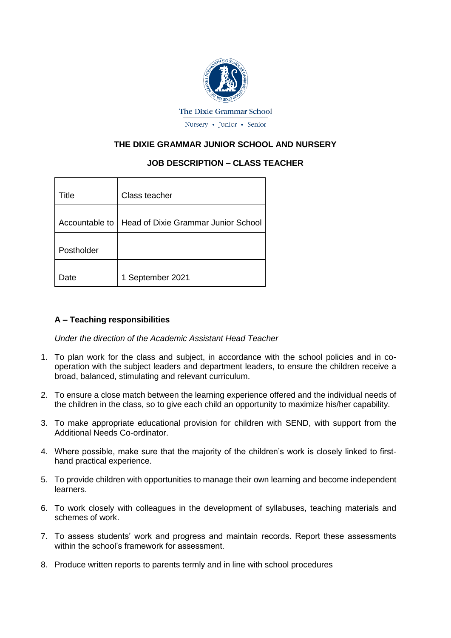

# **THE DIXIE GRAMMAR JUNIOR SCHOOL AND NURSERY**

# **JOB DESCRIPTION – CLASS TEACHER**

| Title          | Class teacher                       |  |
|----------------|-------------------------------------|--|
| Accountable to | Head of Dixie Grammar Junior School |  |
| Postholder     |                                     |  |
| )ate           | 1 September 2021                    |  |

## **A – Teaching responsibilities**

*Under the direction of the Academic Assistant Head Teacher*

- 1. To plan work for the class and subject, in accordance with the school policies and in cooperation with the subject leaders and department leaders, to ensure the children receive a broad, balanced, stimulating and relevant curriculum.
- 2. To ensure a close match between the learning experience offered and the individual needs of the children in the class, so to give each child an opportunity to maximize his/her capability.
- 3. To make appropriate educational provision for children with SEND, with support from the Additional Needs Co-ordinator.
- 4. Where possible, make sure that the majority of the children's work is closely linked to firsthand practical experience.
- 5. To provide children with opportunities to manage their own learning and become independent learners.
- 6. To work closely with colleagues in the development of syllabuses, teaching materials and schemes of work.
- 7. To assess students' work and progress and maintain records. Report these assessments within the school's framework for assessment.
- 8. Produce written reports to parents termly and in line with school procedures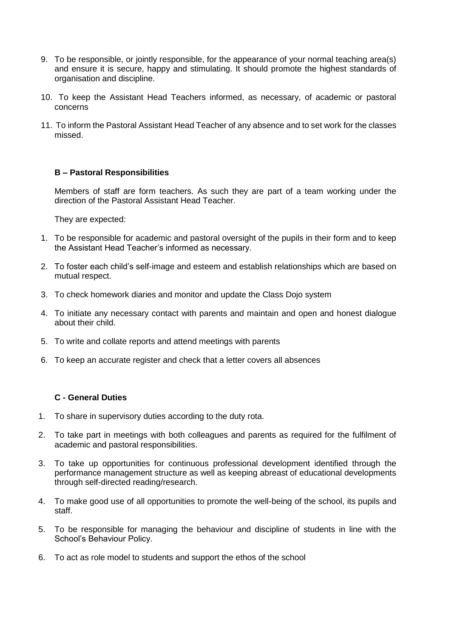- 9. To be responsible, or jointly responsible, for the appearance of your normal teaching area(s) and ensure it is secure, happy and stimulating. It should promote the highest standards of organisation and discipline.
- 10. To keep the Assistant Head Teachers informed, as necessary, of academic or pastoral concerns
- 11. To inform the Pastoral Assistant Head Teacher of any absence and to set work for the classes missed.

#### **B – Pastoral Responsibilities**

Members of staff are form teachers. As such they are part of a team working under the direction of the Pastoral Assistant Head Teacher.

They are expected:

- 1. To be responsible for academic and pastoral oversight of the pupils in their form and to keep the Assistant Head Teacher's informed as necessary.
- 2. To foster each child's self-image and esteem and establish relationships which are based on mutual respect.
- 3. To check homework diaries and monitor and update the Class Dojo system
- 4. To initiate any necessary contact with parents and maintain and open and honest dialogue about their child.
- 5. To write and collate reports and attend meetings with parents
- 6. To keep an accurate register and check that a letter covers all absences

## **C - General Duties**

- 1. To share in supervisory duties according to the duty rota.
- 2. To take part in meetings with both colleagues and parents as required for the fulfilment of academic and pastoral responsibilities.
- 3. To take up opportunities for continuous professional development identified through the performance management structure as well as keeping abreast of educational developments through self-directed reading/research.
- 4. To make good use of all opportunities to promote the well-being of the school, its pupils and staff.
- 5. To be responsible for managing the behaviour and discipline of students in line with the School's Behaviour Policy.
- 6. To act as role model to students and support the ethos of the school